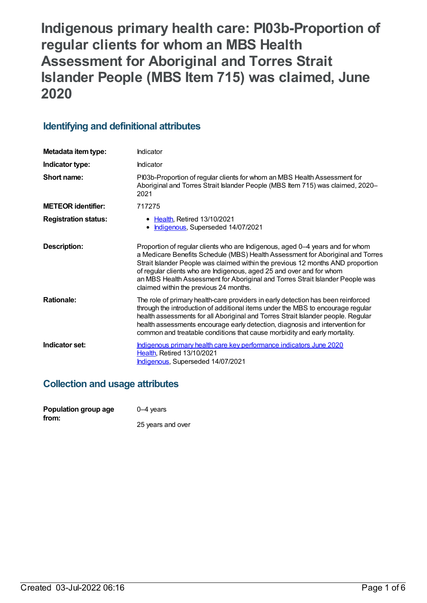# **Indigenous primary health care: PI03b-Proportion of regular clients for whom an MBS Health Assessment for Aboriginal and Torres Strait Islander People (MBS Item 715) was claimed, June 2020**

## **Identifying and definitional attributes**

| Metadata item type:         | Indicator                                                                                                                                                                                                                                                                                                                                                                                                                                             |
|-----------------------------|-------------------------------------------------------------------------------------------------------------------------------------------------------------------------------------------------------------------------------------------------------------------------------------------------------------------------------------------------------------------------------------------------------------------------------------------------------|
| Indicator type:             | Indicator                                                                                                                                                                                                                                                                                                                                                                                                                                             |
| Short name:                 | PI03b-Proportion of regular clients for whom an MBS Health Assessment for<br>Aboriginal and Torres Strait Islander People (MBS Item 715) was claimed, 2020-<br>2021                                                                                                                                                                                                                                                                                   |
| <b>METEOR identifier:</b>   | 717275                                                                                                                                                                                                                                                                                                                                                                                                                                                |
| <b>Registration status:</b> | • Health, Retired 13/10/2021<br>Indigenous, Superseded 14/07/2021                                                                                                                                                                                                                                                                                                                                                                                     |
| <b>Description:</b>         | Proportion of regular clients who are Indigenous, aged 0-4 years and for whom<br>a Medicare Benefits Schedule (MBS) Health Assessment for Aboriginal and Torres<br>Strait Islander People was claimed within the previous 12 months AND proportion<br>of regular clients who are Indigenous, aged 25 and over and for whom<br>an MBS Health Assessment for Aboriginal and Torres Strait Islander People was<br>claimed within the previous 24 months. |
| <b>Rationale:</b>           | The role of primary health-care providers in early detection has been reinforced<br>through the introduction of additional items under the MBS to encourage regular<br>health assessments for all Aboriginal and Torres Strait Islander people. Regular<br>health assessments encourage early detection, diagnosis and intervention for<br>common and treatable conditions that cause morbidity and early mortality.                                  |
| Indicator set:              | Indigenous primary health care key performance indicators June 2020<br>Health, Retired 13/10/2021<br>Indigenous, Superseded 14/07/2021                                                                                                                                                                                                                                                                                                                |

## **Collection and usage attributes**

| Population group age | $0-4$ years       |
|----------------------|-------------------|
| from:                |                   |
|                      | 25 years and over |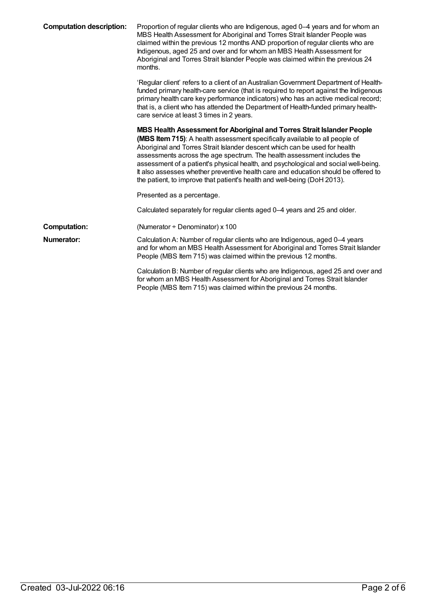| <b>Computation description:</b> | Proportion of regular clients who are Indigenous, aged 0-4 years and for whom an<br>MBS Health Assessment for Aboriginal and Torres Strait Islander People was<br>claimed within the previous 12 months AND proportion of regular clients who are<br>Indigenous, aged 25 and over and for whom an MBS Health Assessment for<br>Aboriginal and Torres Strait Islander People was claimed within the previous 24<br>months.                                                                                                                                               |
|---------------------------------|-------------------------------------------------------------------------------------------------------------------------------------------------------------------------------------------------------------------------------------------------------------------------------------------------------------------------------------------------------------------------------------------------------------------------------------------------------------------------------------------------------------------------------------------------------------------------|
|                                 | 'Regular client' refers to a client of an Australian Government Department of Health-<br>funded primary health-care service (that is required to report against the Indigenous<br>primary health care key performance indicators) who has an active medical record;<br>that is, a client who has attended the Department of Health-funded primary health-<br>care service at least 3 times in 2 years.                                                                                                                                                                  |
|                                 | MBS Health Assessment for Aboriginal and Torres Strait Islander People<br>(MBS Item 715): A health assessment specifically available to all people of<br>Aboriginal and Torres Strait Islander descent which can be used for health<br>assessments across the age spectrum. The health assessment includes the<br>assessment of a patient's physical health, and psychological and social well-being.<br>It also assesses whether preventive health care and education should be offered to<br>the patient, to improve that patient's health and well-being (DoH 2013). |
|                                 | Presented as a percentage.                                                                                                                                                                                                                                                                                                                                                                                                                                                                                                                                              |
|                                 | Calculated separately for regular clients aged 0-4 years and 25 and older.                                                                                                                                                                                                                                                                                                                                                                                                                                                                                              |
| <b>Computation:</b>             | (Numerator + Denominator) x 100                                                                                                                                                                                                                                                                                                                                                                                                                                                                                                                                         |
| Numerator:                      | Calculation A: Number of regular clients who are Indigenous, aged 0-4 years<br>and for whom an MBS Health Assessment for Aboriginal and Torres Strait Islander<br>People (MBS Item 715) was claimed within the previous 12 months.                                                                                                                                                                                                                                                                                                                                      |
|                                 | Calculation B: Number of regular clients who are Indigenous, aged 25 and over and<br>for whom an MBS Health Assessment for Aboriginal and Torres Strait Islander<br>People (MBS Item 715) was claimed within the previous 24 months.                                                                                                                                                                                                                                                                                                                                    |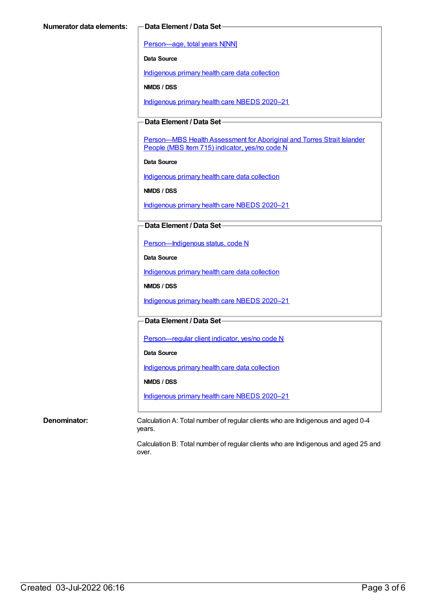[Person—age,](https://meteor.aihw.gov.au/content/303794) total years N[NN]

**Data Source**

[Indigenous](https://meteor.aihw.gov.au/content/430643) primary health care data collection

**NMDS / DSS**

[Indigenous](https://meteor.aihw.gov.au/content/715320) primary health care NBEDS 2020–21

### **Data Element / Data Set**

Person-MBS Health Assessment for Aboriginal and Torres Strait Islander People (MBS Item 715) indicator, yes/no code N

**Data Source**

[Indigenous](https://meteor.aihw.gov.au/content/430643) primary health care data collection

**NMDS / DSS**

[Indigenous](https://meteor.aihw.gov.au/content/715320) primary health care NBEDS 2020–21

#### **Data Element / Data Set**

[Person—Indigenous](https://meteor.aihw.gov.au/content/602543) status, code N

**Data Source**

[Indigenous](https://meteor.aihw.gov.au/content/430643) primary health care data collection

**NMDS / DSS**

[Indigenous](https://meteor.aihw.gov.au/content/715320) primary health care NBEDS 2020–21

#### **Data Element / Data Set**

Person-regular client indicator, yes/no code N

**Data Source**

[Indigenous](https://meteor.aihw.gov.au/content/430643) primary health care data collection

**NMDS / DSS**

[Indigenous](https://meteor.aihw.gov.au/content/715320) primary health care NBEDS 2020–21

**Denominator:** Calculation A: Total number of regular clients who are Indigenous and aged 0-4 years.

> Calculation B: Total number of regular clients who are Indigenous and aged 25 and over.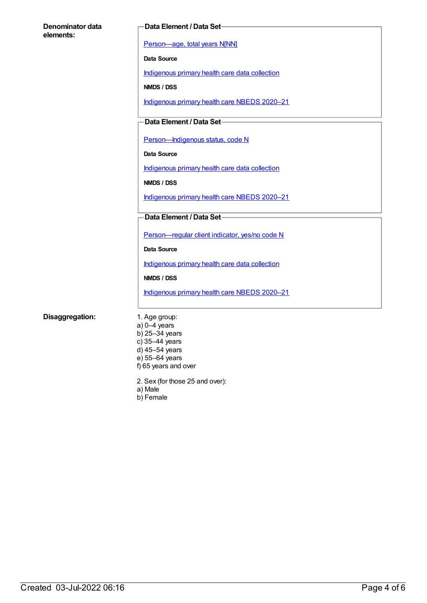| Denominator data |  |
|------------------|--|
| elements:        |  |

#### **Data Element / Data Set**

[Person—age,](https://meteor.aihw.gov.au/content/303794) total years N[NN]

**Data Source**

[Indigenous](https://meteor.aihw.gov.au/content/430643) primary health care data collection

**NMDS / DSS**

[Indigenous](https://meteor.aihw.gov.au/content/715320) primary health care NBEDS 2020–21

### **Data Element / Data Set**

Person-Indigenous status, code N

**Data Source**

[Indigenous](https://meteor.aihw.gov.au/content/430643) primary health care data collection

**NMDS / DSS**

[Indigenous](https://meteor.aihw.gov.au/content/715320) primary health care NBEDS 2020–21

**Data Element / Data Set**

[Person—regular](https://meteor.aihw.gov.au/content/686291) client indicator, yes/no code N

**Data Source**

[Indigenous](https://meteor.aihw.gov.au/content/430643) primary health care data collection

**NMDS / DSS**

[Indigenous](https://meteor.aihw.gov.au/content/715320) primary health care NBEDS 2020–21

#### **Disaggregation:** 1. Age group:

a) 0–4 years b) 25–34 years c) 35–44 years d) 45–54 years e) 55–64 years f) 65 years and over

2. Sex (for those 25 and over):

- a) Male
- b) Female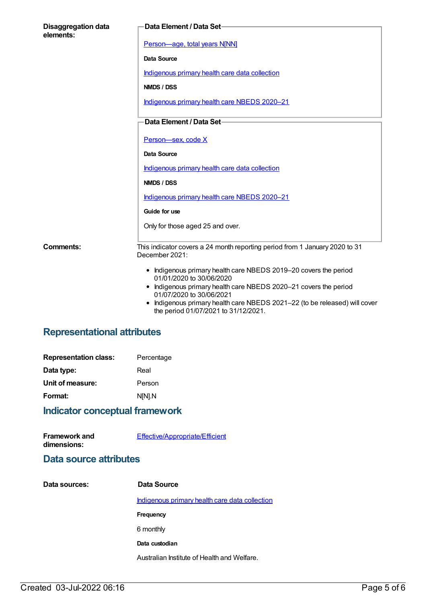| <b>Disaggregation data</b><br>elements: | Data Element / Data Set-                                                                                                                                                         |
|-----------------------------------------|----------------------------------------------------------------------------------------------------------------------------------------------------------------------------------|
|                                         | Person-age, total years N[NN]                                                                                                                                                    |
|                                         | <b>Data Source</b>                                                                                                                                                               |
|                                         | Indigenous primary health care data collection                                                                                                                                   |
|                                         | NMDS / DSS                                                                                                                                                                       |
|                                         | Indigenous primary health care NBEDS 2020-21                                                                                                                                     |
|                                         | Data Element / Data Set-                                                                                                                                                         |
|                                         | Person-sex, code X                                                                                                                                                               |
|                                         | <b>Data Source</b>                                                                                                                                                               |
|                                         | Indigenous primary health care data collection                                                                                                                                   |
|                                         | NMDS / DSS                                                                                                                                                                       |
|                                         | Indigenous primary health care NBEDS 2020-21                                                                                                                                     |
|                                         | Guide for use                                                                                                                                                                    |
|                                         | Only for those aged 25 and over.                                                                                                                                                 |
| <b>Comments:</b>                        | This indicator covers a 24 month reporting period from 1 January 2020 to 31<br>December 2021:                                                                                    |
|                                         | • Indigenous primary health care NBEDS 2019-20 covers the period<br>01/01/2020 to 30/06/2020                                                                                     |
|                                         | Indigenous primary health care NBEDS 2020-21 covers the period<br>01/07/2020 to 30/06/2021<br>$\bullet$ Indigenous primary health care NREDS 2021-22 (to be released) will cover |

Indigenous primary health care NBEDS 2021–22 (to be released) will cover the period 01/07/2021 to 31/12/2021.

## **Representational attributes**

| <b>Representation class:</b> | Percentage |
|------------------------------|------------|
| Data type:                   | Real       |
| Unit of measure:             | Person     |
| Format:                      | N[N].N     |
|                              |            |

## **Indicator conceptual framework**

| <b>Framework and</b> | <b>Effective/Appropriate/Efficient</b> |
|----------------------|----------------------------------------|
| dimensions:          |                                        |

## **Data source attributes**

| Data sources: | Data Source                                    |
|---------------|------------------------------------------------|
|               | Indigenous primary health care data collection |
|               | <b>Frequency</b>                               |
|               | 6 monthly                                      |
|               | Data custodian                                 |
|               | Australian Institute of Health and Welfare.    |